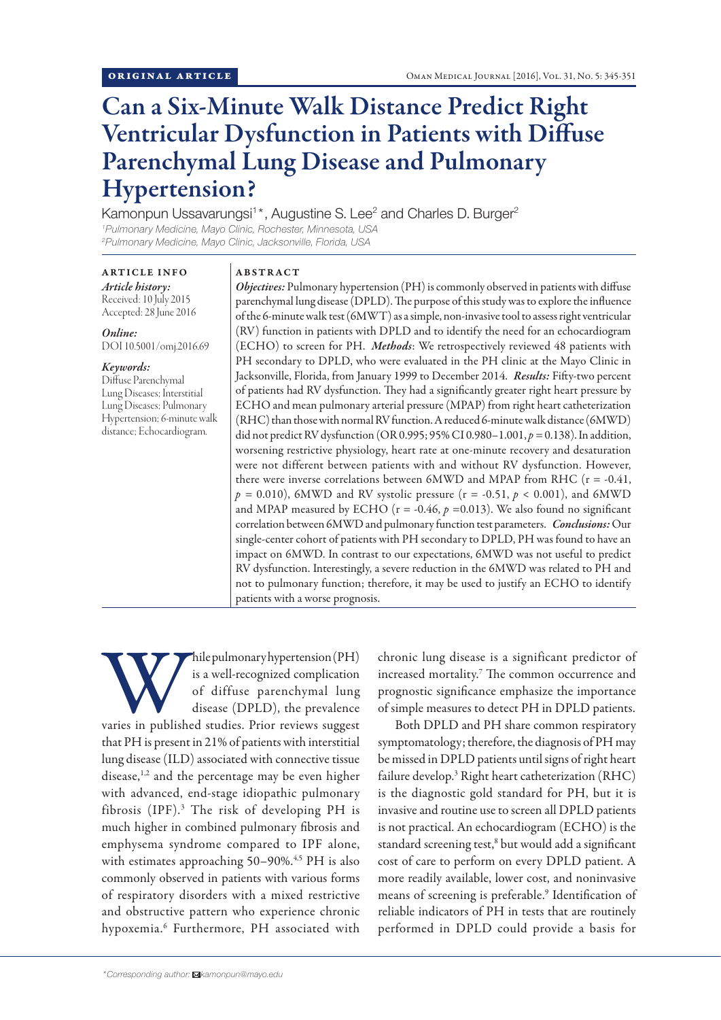# Can a Six-Minute Walk Distance Predict Right Ventricular Dysfunction in Patients with Diffuse Parenchymal Lung Disease and Pulmonary Hypertension?

Kamonpun Ussavarungsi<sup>1\*</sup>, Augustine S. Lee<sup>2</sup> and Charles D. Burger<sup>2</sup> *1 Pulmonary Medicine, Mayo Clinic, Rochester, Minnesota, USA*

*2 Pulmonary Medicine, Mayo Clinic, Jacksonville, Florida, USA*

ARTICLE INFO *Article history:* Received: 10 July 2015 Accepted: 28 June 2016

*Online:* DOI 10.5001/omj.2016.69

#### *Keywords:*

Diffuse Parenchymal Lung Diseases; Interstitial Lung Diseases; Pulmonary Hypertension; 6-minute walk distance; Echocardiogram.

### ABSTRACT

*Objectives:* Pulmonary hypertension (PH) is commonly observed in patients with diffuse parenchymal lung disease (DPLD). The purpose of this study was to explore the influence of the 6-minute walk test (6MWT) as a simple, non-invasive tool to assess right ventricular (RV) function in patients with DPLD and to identify the need for an echocardiogram (ECHO) to screen for PH. *Methods*: We retrospectively reviewed 48 patients with PH secondary to DPLD, who were evaluated in the PH clinic at the Mayo Clinic in Jacksonville, Florida, from January 1999 to December 2014. *Results:* Fifty-two percent of patients had RV dysfunction. They had a significantly greater right heart pressure by ECHO and mean pulmonary arterial pressure (MPAP) from right heart catheterization (RHC) than those with normal RV function. A reduced 6-minute walk distance (6MWD) did not predict RV dysfunction (OR 0.995; 95% CI 0.980–1.001, *p =* 0.138). In addition, worsening restrictive physiology, heart rate at one-minute recovery and desaturation were not different between patients with and without RV dysfunction. However, there were inverse correlations between  $6MWD$  and MPAP from RHC ( $r = -0.41$ ,  $p = 0.010$ ), 6MWD and RV systolic pressure ( $r = -0.51$ ,  $p < 0.001$ ), and 6MWD and MPAP measured by ECHO ( $r = -0.46$ ,  $p = 0.013$ ). We also found no significant correlation between 6MWD and pulmonary function test parameters. *Conclusions:* Our single-center cohort of patients with PH secondary to DPLD, PH was found to have an impact on 6MWD. In contrast to our expectations, 6MWD was not useful to predict RV dysfunction. Interestingly, a severe reduction in the 6MWD was related to PH and not to pulmonary function; therefore, it may be used to justify an ECHO to identify patients with a worse prognosis.

While pulmonary hypertension (PH) is a well-recognized complication of diffuse parenchymal lung disease (DPLD), the prevalence varies in published studies. Prior reviews suggest is a well-recognized complication of diffuse parenchymal lung disease (DPLD), the prevalence that PH is present in 21% of patients with interstitial lung disease (ILD) associated with connective tissue disease,<sup>1,2</sup> and the percentage may be even higher with advanced, end-stage idiopathic pulmonary fibrosis (IPF).3 The risk of developing PH is much higher in combined pulmonary fibrosis and emphysema syndrome compared to IPF alone, with estimates approaching 50-90%.<sup>4,5</sup> PH is also commonly observed in patients with various forms of respiratory disorders with a mixed restrictive and obstructive pattern who experience chronic hypoxemia.6 Furthermore, PH associated with

chronic lung disease is a significant predictor of increased mortality.7 The common occurrence and prognostic significance emphasize the importance of simple measures to detect PH in DPLD patients.

Both DPLD and PH share common respiratory symptomatology; therefore, the diagnosis of PH may be missed in DPLD patients until signs of right heart failure develop.<sup>3</sup> Right heart catheterization (RHC) is the diagnostic gold standard for PH, but it is invasive and routine use to screen all DPLD patients is not practical. An echocardiogram (ECHO) is the standard screening test,<sup>8</sup> but would add a significant cost of care to perform on every DPLD patient. A more readily available, lower cost, and noninvasive means of screening is preferable.<sup>9</sup> Identification of reliable indicators of PH in tests that are routinely performed in DPLD could provide a basis for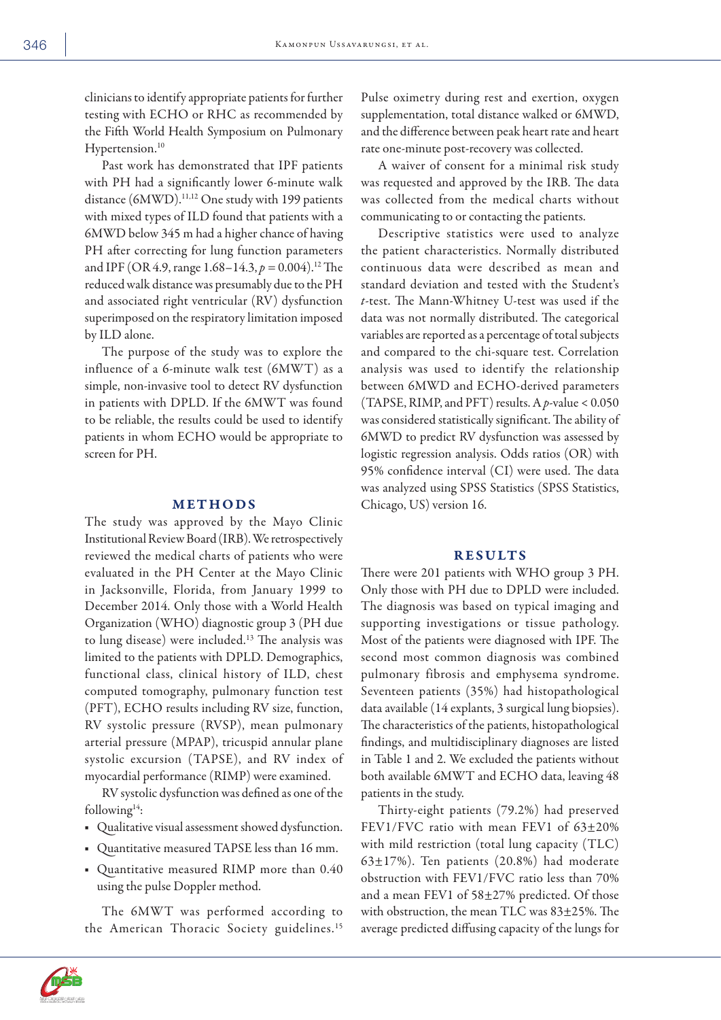clinicians to identify appropriate patients for further testing with ECHO or RHC as recommended by the Fifth World Health Symposium on Pulmonary Hypertension.<sup>10</sup>

Past work has demonstrated that IPF patients with PH had a significantly lower 6-minute walk distance (6MWD).<sup>11,12</sup> One study with 199 patients with mixed types of ILD found that patients with a 6MWD below 345 m had a higher chance of having PH after correcting for lung function parameters and IPF (OR 4.9, range 1.68–14.3, *p =* 0.004).12 The reduced walk distance was presumably due to the PH and associated right ventricular (RV) dysfunction superimposed on the respiratory limitation imposed by ILD alone.

The purpose of the study was to explore the influence of a 6-minute walk test (6MWT) as a simple, non-invasive tool to detect RV dysfunction in patients with DPLD. If the 6MWT was found to be reliable, the results could be used to identify patients in whom ECHO would be appropriate to screen for PH.

# METHODS

The study was approved by the Mayo Clinic Institutional Review Board (IRB). We retrospectively reviewed the medical charts of patients who were evaluated in the PH Center at the Mayo Clinic in Jacksonville, Florida, from January 1999 to December 2014. Only those with a World Health Organization (WHO) diagnostic group 3 (PH due to lung disease) were included.13 The analysis was limited to the patients with DPLD. Demographics, functional class, clinical history of ILD, chest computed tomography, pulmonary function test (PFT), ECHO results including RV size, function, RV systolic pressure (RVSP), mean pulmonary arterial pressure (MPAP), tricuspid annular plane systolic excursion (TAPSE), and RV index of myocardial performance (RIMP) were examined.

RV systolic dysfunction was defined as one of the following $14$ :

- Qualitative visual assessment showed dysfunction.
- Quantitative measured TAPSE less than 16 mm.
- Quantitative measured RIMP more than 0.40 using the pulse Doppler method.

The 6MWT was performed according to the American Thoracic Society guidelines.<sup>15</sup> Pulse oximetry during rest and exertion, oxygen supplementation, total distance walked or 6MWD, and the difference between peak heart rate and heart rate one-minute post-recovery was collected.

A waiver of consent for a minimal risk study was requested and approved by the IRB. The data was collected from the medical charts without communicating to or contacting the patients.

Descriptive statistics were used to analyze the patient characteristics. Normally distributed continuous data were described as mean and standard deviation and tested with the Student's *t*-test. The Mann-Whitney U-test was used if the data was not normally distributed. The categorical variables are reported as a percentage of total subjects and compared to the chi-square test. Correlation analysis was used to identify the relationship between 6MWD and ECHO-derived parameters (TAPSE, RIMP, and PFT) results. A *p*-value < 0.050 was considered statistically significant. The ability of 6MWD to predict RV dysfunction was assessed by logistic regression analysis. Odds ratios (OR) with 95% confidence interval (CI) were used. The data was analyzed using SPSS Statistics (SPSS Statistics, Chicago, US) version 16.

# RESULTS

There were 201 patients with WHO group 3 PH. Only those with PH due to DPLD were included. The diagnosis was based on typical imaging and supporting investigations or tissue pathology. Most of the patients were diagnosed with IPF. The second most common diagnosis was combined pulmonary fibrosis and emphysema syndrome. Seventeen patients (35%) had histopathological data available (14 explants, 3 surgical lung biopsies). The characteristics of the patients, histopathological findings, and multidisciplinary diagnoses are listed in Table 1 and 2. We excluded the patients without both available 6MWT and ECHO data, leaving 48 patients in the study.

Thirty-eight patients (79.2%) had preserved FEV1/FVC ratio with mean FEV1 of 63±20% with mild restriction (total lung capacity (TLC) 63±17%). Ten patients (20.8%) had moderate obstruction with FEV1/FVC ratio less than 70% and a mean FEV1 of 58±27% predicted. Of those with obstruction, the mean TLC was 83±25%. The average predicted diffusing capacity of the lungs for

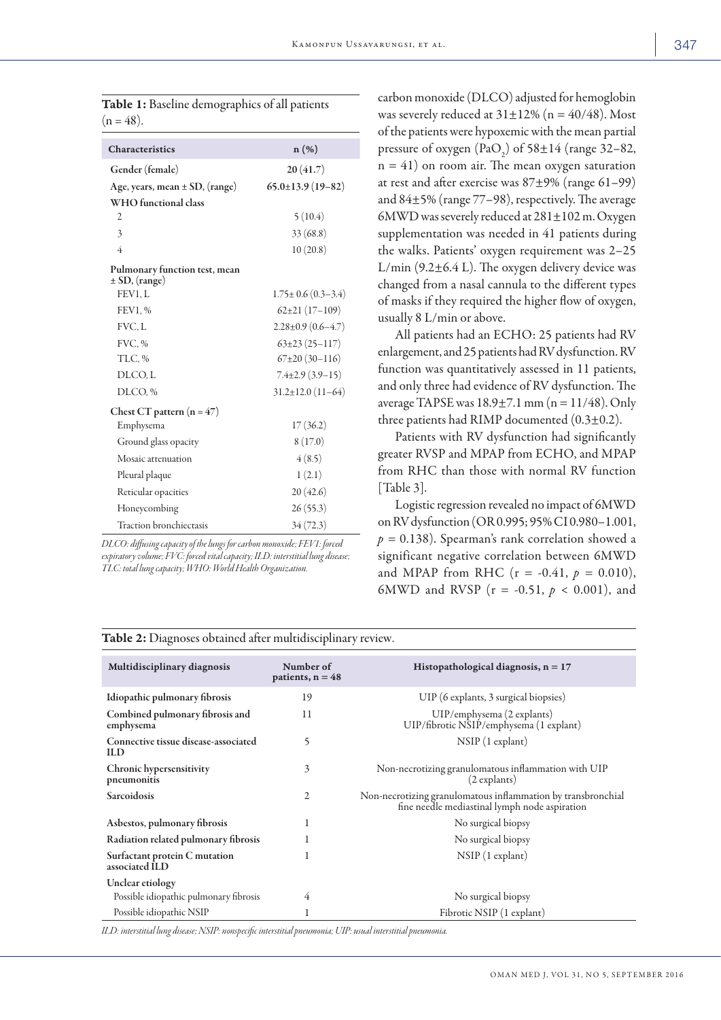| <b>Table 1:</b> Baseline demographics of all patients |  |  |
|-------------------------------------------------------|--|--|
| $(n = 48)$ .                                          |  |  |

| Characteristics                                    | n(%)                       |
|----------------------------------------------------|----------------------------|
| Gender (female)                                    | 20(41.7)                   |
| Age, years, mean $\pm$ SD, (range)                 | $65.0\pm13.9(19-82)$       |
| WHO functional class                               |                            |
| $\overline{c}$                                     | 5(10.4)                    |
| 3                                                  | 33 (68.8)                  |
| 4                                                  | 10(20.8)                   |
| Pulmonary function test, mean<br>$\pm$ SD, (range) |                            |
| FEV1, L                                            | $1.75 \pm 0.6 (0.3 - 3.4)$ |
| FEV1, %                                            | $62\pm21(17-109)$          |
| FVC, L                                             | $2.28 \pm 0.9$ (0.6-4.7)   |
| FVC.%                                              | $63\pm23(25-117)$          |
| TLC, %                                             | $67\pm20(30-116)$          |
| DLCO, L                                            | $7.4\pm2.9(3.9-15)$        |
| DLCO, %                                            | $31.2 \pm 12.0$ (11-64)    |
| Chest CT pattern $(n = 47)$                        |                            |
| Emphysema                                          | 17(36.2)                   |
| Ground glass opacity                               | 8(17.0)                    |
| Mosaic attenuation                                 | 4(8.5)                     |
| Pleural plaque                                     | 1(2.1)                     |
| Reticular opacities                                | 20(42.6)                   |
| Honeycombing                                       | 26(55.3)                   |
| <b>Traction bronchiectasis</b>                     | 34(72.3)                   |

*DLCO: diffusing capacity of the lungs for carbon monoxide; FEV1: forced expiratory volume; FVC: forced vital capacity; ILD: interstitial lung disease; TLC: total lung capacity; WHO: World Health Organization.*

carbon monoxide (DLCO) adjusted for hemoglobin was severely reduced at  $31\pm12\%$  (n = 40/48). Most of the patients were hypoxemic with the mean partial pressure of oxygen  $(PaO_2)$  of 58 $\pm$ 14 (range 32–82,  $n = 41$ ) on room air. The mean oxygen saturation at rest and after exercise was 87±9% (range 61–99) and 84±5% (range 77–98), respectively. The average 6MWD was severely reduced at  $281 \pm 102$  m. Oxygen supplementation was needed in 41 patients during the walks. Patients' oxygen requirement was 2–25 L/min  $(9.2 \pm 6.4 \text{ L})$ . The oxygen delivery device was changed from a nasal cannula to the different types of masks if they required the higher flow of oxygen, usually 8 L/min or above.

All patients had an ECHO: 25 patients had RV enlargement, and 25 patients had RV dysfunction. RV function was quantitatively assessed in 11 patients, and only three had evidence of RV dysfunction. The average TAPSE was  $18.9 \pm 7.1$  mm (n =  $11/48$ ). Only three patients had RIMP documented (0.3±0.2).

Patients with RV dysfunction had significantly greater RVSP and MPAP from ECHO, and MPAP from RHC than those with normal RV function [Table 3].

Logistic regression revealed no impact of 6MWD on RV dysfunction (OR 0.995; 95% CI 0.980–1.001, *p =* 0.138). Spearman's rank correlation showed a significant negative correlation between 6MWD and MPAP from RHC  $(r = -0.41, p = 0.010)$ , 6MWD and RVSP (r = -0.51, *p* < 0.001), and

| Multidisciplinary diagnosis                        | Number of<br>patients, $n = 48$ | Histopathological diagnosis, $n = 17$                                                                         |
|----------------------------------------------------|---------------------------------|---------------------------------------------------------------------------------------------------------------|
| Idiopathic pulmonary fibrosis                      | 19                              | UIP (6 explants, 3 surgical biopsies)                                                                         |
| Combined pulmonary fibrosis and<br>emphysema       | 11                              | UIP/emphysema (2 explants)<br>UIP/fibrotic NSIP/emphysema (1 explant)                                         |
| Connective tissue disease-associated<br><b>ILD</b> | 5                               | $NSIP(1)$ explant)                                                                                            |
| Chronic hypersensitivity<br>pneumonitis            | 3                               | Non-necrotizing granulomatous inflammation with UIP<br>(2 explants)                                           |
| Sarcoidosis                                        | $\overline{c}$                  | Non-necrotizing granulomatous inflammation by transbronchial<br>fine needle mediastinal lymph node aspiration |
| Asbestos, pulmonary fibrosis                       | 1                               | No surgical biopsy                                                                                            |
| Radiation related pulmonary fibrosis               |                                 | No surgical biopsy                                                                                            |
| Surfactant protein C mutation<br>associated ILD    |                                 | $NSIP(1)$ explant                                                                                             |
| Unclear etiology                                   |                                 |                                                                                                               |
| Possible idiopathic pulmonary fibrosis             | 4                               | No surgical biopsy                                                                                            |
| Possible idiopathic NSIP                           | 1                               | Fibrotic NSIP (1 explant)                                                                                     |

Table 2: Diagnoses obtained after multidisciplinary review.

*ILD: interstitial lung disease; NSIP: nonspecific interstitial pneumonia; UIP: usual interstitial pneumonia.*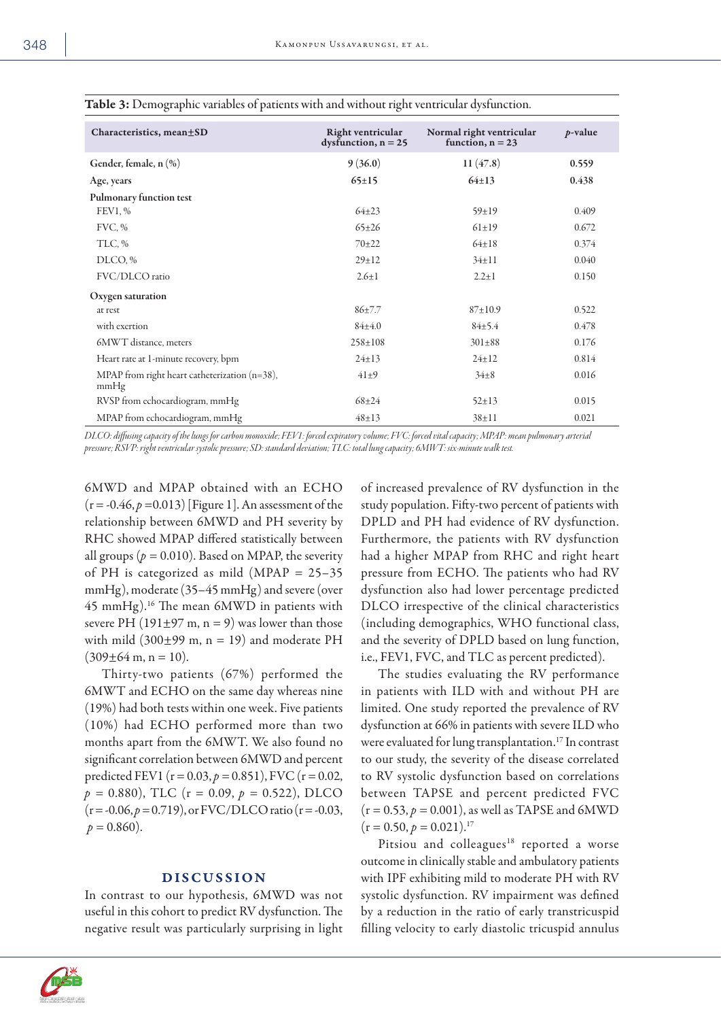| Characteristics, mean±SD                                 | Right ventricular<br>dysfunction, $n = 25$ | Normal right ventricular<br>function, $n = 23$ | $p$ -value |
|----------------------------------------------------------|--------------------------------------------|------------------------------------------------|------------|
| Gender, female, n (%)                                    | 9(36.0)                                    | 11(47.8)                                       | 0.559      |
| Age, years                                               | $65 \pm 15$                                | $64 \pm 13$                                    | 0.438      |
| Pulmonary function test                                  |                                            |                                                |            |
| <b>FEV1, %</b>                                           | $64 + 23$                                  | $59 \pm 19$                                    | 0.409      |
| FVC, %                                                   | $65 \pm 26$                                | $61 \pm 19$                                    | 0.672      |
| TLC, %                                                   | $70 + 22$                                  | $64 \pm 18$                                    | 0.374      |
| DLCO, %                                                  | $29 \pm 12$                                | $34 \pm 11$                                    | 0.040      |
| FVC/DLCO ratio                                           | $2.6 \pm 1$                                | $2.2 \pm 1$                                    | 0.150      |
| Oxygen saturation                                        |                                            |                                                |            |
| at rest                                                  | $86 + 7.7$                                 | 87±10.9                                        | 0.522      |
| with exertion                                            | 84±4.0                                     | 84±5.4                                         | 0.478      |
| 6MWT distance, meters                                    | $258 \pm 108$                              | $301 \pm 88$                                   | 0.176      |
| Heart rate at 1-minute recovery, bpm                     | $24 \pm 13$                                | $24 \pm 12$                                    | 0.814      |
| MPAP from right heart catheterization $(n=38)$ ,<br>mmHg | $41\pm9$                                   | $34\pm8$                                       | 0.016      |
| RVSP from echocardiogram, mmHg                           | $68 + 24$                                  | $52 \pm 13$                                    | 0.015      |
| MPAP from echocardiogram, mmHg                           | $48 + 13$                                  | $38 + 11$                                      | 0.021      |

### Table 3: Demographic variables of patients with and without right ventricular dysfunction.

*DLCO: diffusing capacity of the lungs for carbon monoxide; FEV1: forced expiratory volume; FVC: forced vital capacity; MPAP: mean pulmonary arterial pressure; RSVP: right ventricular systolic pressure; SD: standard deviation; TLC: total lung capacity; 6MWT: six-minute walk test.*

6MWD and MPAP obtained with an ECHO  $(r = -0.46, p = 0.013)$  [Figure 1]. An assessment of the relationship between 6MWD and PH severity by RHC showed MPAP differed statistically between all groups ( $p = 0.010$ ). Based on MPAP, the severity of PH is categorized as mild (MPAP = 25–35 mmHg), moderate (35–45 mmHg) and severe (over 45 mmHg).16 The mean 6MWD in patients with severe PH (191 $\pm$ 97 m, n = 9) was lower than those with mild  $(300\pm99 \text{ m}, \text{ n} = 19)$  and moderate PH  $(309\pm64 \text{ m}, \text{n} = 10).$ 

Thirty-two patients (67%) performed the 6MWT and ECHO on the same day whereas nine (19%) had both tests within one week. Five patients (10%) had ECHO performed more than two months apart from the 6MWT. We also found no significant correlation between 6MWD and percent predicted FEV1 ( $r = 0.03$ ,  $p = 0.851$ ), FVC ( $r = 0.02$ ,  $p = 0.880$ , TLC (r = 0.09,  $p = 0.522$ ), DLCO  $(r = -0.06, p = 0.719)$ , or FVC/DLCO ratio (r = -0.03,  $p = 0.860$ ).

# DISCUSSION

In contrast to our hypothesis, 6MWD was not useful in this cohort to predict RV dysfunction. The negative result was particularly surprising in light of increased prevalence of RV dysfunction in the study population. Fifty-two percent of patients with DPLD and PH had evidence of RV dysfunction. Furthermore, the patients with RV dysfunction had a higher MPAP from RHC and right heart pressure from ECHO. The patients who had RV dysfunction also had lower percentage predicted DLCO irrespective of the clinical characteristics (including demographics, WHO functional class, and the severity of DPLD based on lung function, i.e., FEV1, FVC, and TLC as percent predicted).

The studies evaluating the RV performance in patients with ILD with and without PH are limited. One study reported the prevalence of RV dysfunction at 66% in patients with severe ILD who were evaluated for lung transplantation.<sup>17</sup> In contrast to our study, the severity of the disease correlated to RV systolic dysfunction based on correlations between TAPSE and percent predicted FVC  $(r = 0.53, p = 0.001)$ , as well as TAPSE and 6MWD  $(r = 0.50, p = 0.021).$ <sup>17</sup>

Pitsiou and colleagues<sup>18</sup> reported a worse outcome in clinically stable and ambulatory patients with IPF exhibiting mild to moderate PH with RV systolic dysfunction. RV impairment was defined by a reduction in the ratio of early transtricuspid filling velocity to early diastolic tricuspid annulus

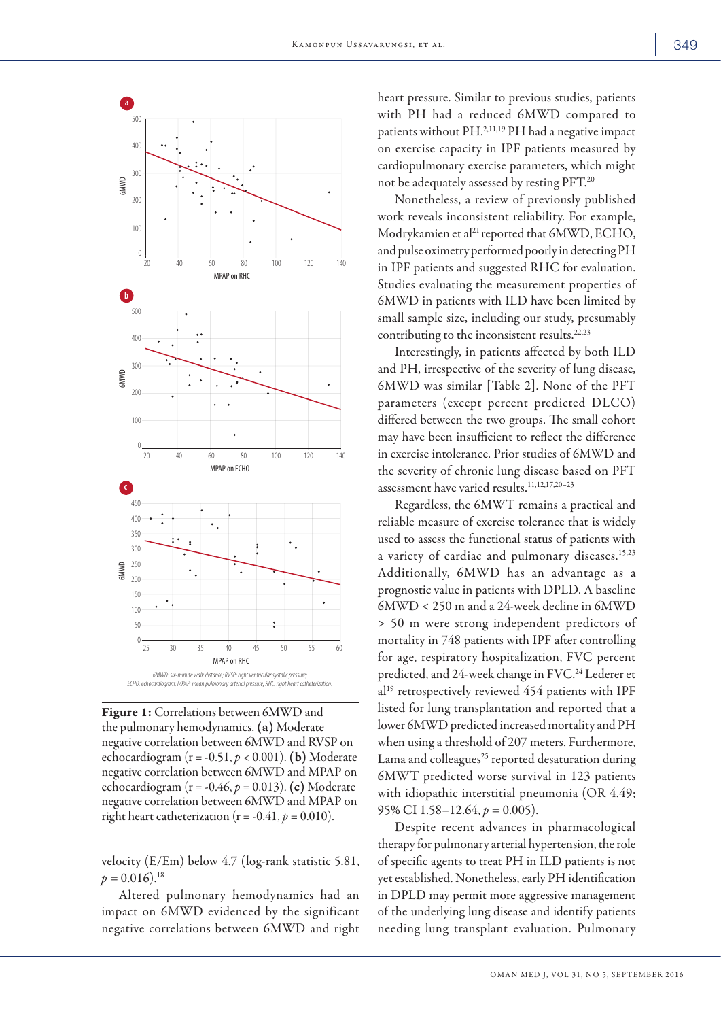

Figure 1: Correlations between 6MWD and the pulmonary hemodynamics. (a) Moderate negative correlation between 6MWD and RVSP on echocardiogram  $(r = -0.51, p < 0.001)$ . **(b)** Moderate negative correlation between 6MWD and MPAP on echocardiogram ( $r = -0.46$ ,  $p = 0.013$ ). (c) Moderate negative correlation between 6MWD and MPAP on right heart catheterization  $(r = -0.41, p = 0.010)$ .

velocity (E/Em) below 4.7 (log-rank statistic 5.81,  $p = 0.016$ .<sup>18</sup>

Altered pulmonary hemodynamics had an impact on 6MWD evidenced by the significant negative correlations between 6MWD and right heart pressure. Similar to previous studies, patients with PH had a reduced 6MWD compared to patients without PH.2,11,19 PH had a negative impact on exercise capacity in IPF patients measured by cardiopulmonary exercise parameters, which might not be adequately assessed by resting PFT.20

Nonetheless, a review of previously published work reveals inconsistent reliability. For example, Modrykamien et al<sup>21</sup> reported that 6MWD, ECHO, and pulse oximetry performed poorly in detecting PH in IPF patients and suggested RHC for evaluation. Studies evaluating the measurement properties of 6MWD in patients with ILD have been limited by small sample size, including our study, presumably contributing to the inconsistent results.22,23

Interestingly, in patients affected by both ILD and PH, irrespective of the severity of lung disease, 6MWD was similar [Table 2]. None of the PFT parameters (except percent predicted DLCO) differed between the two groups. The small cohort may have been insufficient to reflect the difference in exercise intolerance. Prior studies of 6MWD and the severity of chronic lung disease based on PFT assessment have varied results.11,12,17,20–23

Regardless, the 6MWT remains a practical and reliable measure of exercise tolerance that is widely used to assess the functional status of patients with a variety of cardiac and pulmonary diseases.<sup>15,23</sup> Additionally, 6MWD has an advantage as a prognostic value in patients with DPLD. A baseline 6MWD < 250 m and a 24-week decline in 6MWD > 50 m were strong independent predictors of mortality in 748 patients with IPF after controlling for age, respiratory hospitalization, FVC percent predicted, and 24-week change in FVC.<sup>24</sup> Lederer et al19 retrospectively reviewed 454 patients with IPF listed for lung transplantation and reported that a lower 6MWD predicted increased mortality and PH when using a threshold of 207 meters. Furthermore, Lama and colleagues $25$  reported desaturation during 6MWT predicted worse survival in 123 patients with idiopathic interstitial pneumonia (OR 4.49; 95% CI 1.58–12.64, *p =* 0.005).

Despite recent advances in pharmacological therapy for pulmonary arterial hypertension, the role of specific agents to treat PH in ILD patients is not yet established. Nonetheless, early PH identification in DPLD may permit more aggressive management of the underlying lung disease and identify patients needing lung transplant evaluation. Pulmonary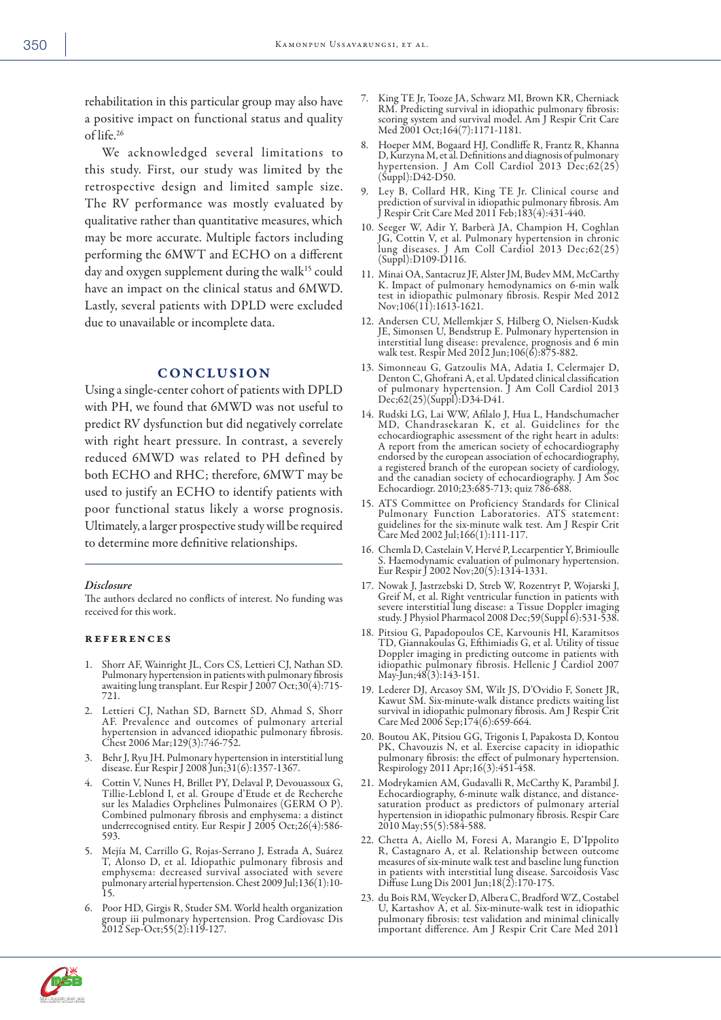rehabilitation in this particular group may also have a positive impact on functional status and quality of life.26

We acknowledged several limitations to this study. First, our study was limited by the retrospective design and limited sample size. The RV performance was mostly evaluated by qualitative rather than quantitative measures, which may be more accurate. Multiple factors including performing the 6MWT and ECHO on a different day and oxygen supplement during the walk<sup>15</sup> could have an impact on the clinical status and 6MWD. Lastly, several patients with DPLD were excluded due to unavailable or incomplete data.

#### CONCLUSION

Using a single-center cohort of patients with DPLD with PH, we found that 6MWD was not useful to predict RV dysfunction but did negatively correlate with right heart pressure. In contrast, a severely reduced 6MWD was related to PH defined by both ECHO and RHC; therefore, 6MWT may be used to justify an ECHO to identify patients with poor functional status likely a worse prognosis. Ultimately, a larger prospective study will be required to determine more definitive relationships.

#### *Disclosure*

The authors declared no conflicts of interest. No funding was received for this work.

#### references

- 1. Shorr AF, Wainright JL, Cors CS, Lettieri CJ, Nathan SD. Pulmonary hypertension in patients with pulmonary fibrosis awaiting lung transplant. Eur Respir J 2007 Oct;30(4):715- 721.
- 2. Lettieri CJ, Nathan SD, Barnett SD, Ahmad S, Shorr AF. Prevalence and outcomes of pulmonary arterial hypertension in advanced idiopathic pulmonary fibrosis. Chest 2006 Mar;129(3):746-752.
- 3. Behr J, Ryu JH. Pulmonary hypertension in interstitial lung disease. Eur Respir J 2008 Jun;31(6):1357-1367.
- 4. Cottin V, Nunes H, Brillet PY, Delaval P, Devouassoux G, Tillie-Leblond I, et al. Groupe d'Etude et de Recherche sur les Maladies Orphelines Pulmonaires (GERM O P). Combined pulmonary fibrosis and emphysema: a distinct underrecognised entity. Eur Respir J 2005 Oct;26(4):586- 593.
- 5. Mejía M, Carrillo G, Rojas-Serrano J, Estrada A, Suárez T, Alonso D, et al. Idiopathic pulmonary fibrosis and emphysema: decreased survival associated with severe pulmonary arterial hypertension. Chest 2009 Jul;136(1):10- 15.
- 6. Poor HD, Girgis R, Studer SM. World health organization group iii pulmonary hypertension. Prog Cardiovasc Dis 2012 Sep-Oct;55(2):119-127.
- 7. King TE Jr, Tooze JA, Schwarz MI, Brown KR, Cherniack RM. Predicting survival in idiopathic pulmonary fibrosis: scoring system and survival model. Am J Respir Crit Care Med 2001 Oct;164(7):1171-1181.
- 8. Hoeper MM, Bogaard HJ, Condliffe R, Frantz R, Khanna D, Kurzyna M, et al. Definitions and diagnosis of pulmonary hypertension. J Am Coll Cardiol 2013 Dec;62(25) (Suppl):D42-D50.
- 9. Ley B, Collard HR, King TE Jr. Clinical course and prediction of survival in idiopathic pulmonary fibrosis. Am J Respir Crit Care Med 2011 Feb;183(4):431-440.
- 10. Seeger W, Adir Y, Barberà JA, Champion H, Coghlan JG, Cottin V, et al. Pulmonary hypertension in chronic lung diseases. J Am Coll Cardiol 2013 Dec;62(25) (Suppl):D109-D116.
- 11. Minai OA, Santacruz JF, Alster JM, Budev MM, McCarthy K. Impact of pulmonary hemodynamics on 6-min walk test in idiopathic pulmonary fibrosis. Respir Med 2012 Nov;106(11):1613-1621.
- 12. Andersen CU, Mellemkjær S, Hilberg O, Nielsen-Kudsk JE, Simonsen U, Bendstrup E. Pulmonary hypertension in interstitial lung disease: prevalence, prognosis and 6 min walk test. Respir Med 2012 Jun;106(6):875-882.
- 13. Simonneau G, Gatzoulis MA, Adatia I, Celermajer D, Denton C, Ghofrani A, et al. Updated clinical classification of pulmonary hypertension. J Am Coll Cardiol 2013 Dec;62(25)(Suppl):D34-D41.
- 14. Rudski LG, Lai WW, Afilalo J, Hua L, Handschumacher MD, Chandrasekaran K, et al. Guidelines for the echocardiographic assessment of the right heart in adults: A report from the american society of echocardiography endorsed by the european association of echocardiography, a registered branch of the european society of cardiology, and the canadian society of echocardiography. J Am Soc Echocardiogr. 2010;23:685-713; quiz 786-688.
- 15. ATS Committee on Proficiency Standards for Clinical Pulmonary Function Laboratories. ATS statement: guidelines for the six-minute walk test. Am J Respir Crit Care Med 2002 Jul;166(1):111-117.
- 16. Chemla D, Castelain V, Hervé P, Lecarpentier Y, Brimioulle S. Haemodynamic evaluation of pulmonary hypertension. Eur Respir J 2002 Nov;20(5):1314-1331.
- 17. Nowak J, Jastrzebski D, Streb W, Rozentryt P, Wojarski J, Greif M, et al. Right ventricular function in patients with severe interstitial lung disease: a Tissue Doppler imaging study. J Physiol Pharmacol 2008 Dec;59(Suppl 6):531-538.
- 18. Pitsiou G, Papadopoulos CE, Karvounis HI, Karamitsos TD, Giannakoulas G, Efthimiadis G, et al. Utility of tissue Doppler imaging in predicting outcome in patients with idiopathic pulmonary fibrosis. Hellenic J Cardiol 2007 May-Jun;48(3):143-151.
- 19. Lederer DJ, Arcasoy SM, Wilt JS, D'Ovidio F, Sonett JR, Kawut SM. Six-minute-walk distance predicts waiting list survival in idiopathic pulmonary fibrosis. Am J Respir Crit Care Med 2006 Sep;174(6):659-664.
- 20. Boutou AK, Pitsiou GG, Trigonis I, Papakosta D, Kontou PK, Chavouzis N, et al. Exercise capacity in idiopathic pulmonary fibrosis: the effect of pulmonary hypertension. Respirology 2011 Apr;16(3):451-458.
- 21. Modrykamien AM, Gudavalli R, McCarthy K, Parambil J. Echocardiography, 6-minute walk distance, and distancesaturation product as predictors of pulmonary arterial hypertension in idiopathic pulmonary fibrosis. Respir Care 2010 May;55(5):584-588.
- 22. Chetta A, Aiello M, Foresi A, Marangio E, D'Ippolito R, Castagnaro A, et al. Relationship between outcome measures of six-minute walk test and baseline lung function in patients with interstitial lung disease. Sarcoidosis Vasc Diffuse Lung Dis 2001 Jun;18(2):170-175.
- 23. du Bois RM, Weycker D, Albera C, Bradford WZ, Costabel U, Kartashov A, et al. Six-minute-walk test in idiopathic pulmonary fibrosis: test validation and minimal clinically important difference. Am J Respir Crit Care Med 2011